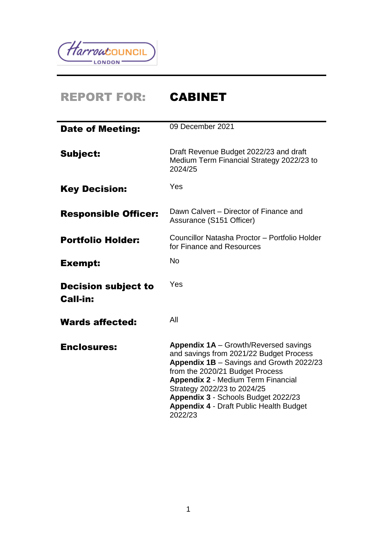

# REPORT FOR: CABINET

| <b>Date of Meeting:</b>                       | 09 December 2021                                                                                                                                                                                                                                                                                                                                       |
|-----------------------------------------------|--------------------------------------------------------------------------------------------------------------------------------------------------------------------------------------------------------------------------------------------------------------------------------------------------------------------------------------------------------|
| Subject:                                      | Draft Revenue Budget 2022/23 and draft<br>Medium Term Financial Strategy 2022/23 to<br>2024/25                                                                                                                                                                                                                                                         |
| <b>Key Decision:</b>                          | Yes                                                                                                                                                                                                                                                                                                                                                    |
| <b>Responsible Officer:</b>                   | Dawn Calvert – Director of Finance and<br>Assurance (S151 Officer)                                                                                                                                                                                                                                                                                     |
| <b>Portfolio Holder:</b>                      | Councillor Natasha Proctor - Portfolio Holder<br>for Finance and Resources                                                                                                                                                                                                                                                                             |
| <b>Exempt:</b>                                | <b>No</b>                                                                                                                                                                                                                                                                                                                                              |
| <b>Decision subject to</b><br><b>Call-in:</b> | Yes                                                                                                                                                                                                                                                                                                                                                    |
| <b>Wards affected:</b>                        | All                                                                                                                                                                                                                                                                                                                                                    |
| <b>Enclosures:</b>                            | <b>Appendix 1A</b> – Growth/Reversed savings<br>and savings from 2021/22 Budget Process<br>Appendix 1B - Savings and Growth 2022/23<br>from the 2020/21 Budget Process<br><b>Appendix 2 - Medium Term Financial</b><br>Strategy 2022/23 to 2024/25<br>Appendix 3 - Schools Budget 2022/23<br><b>Appendix 4 - Draft Public Health Budget</b><br>2022/23 |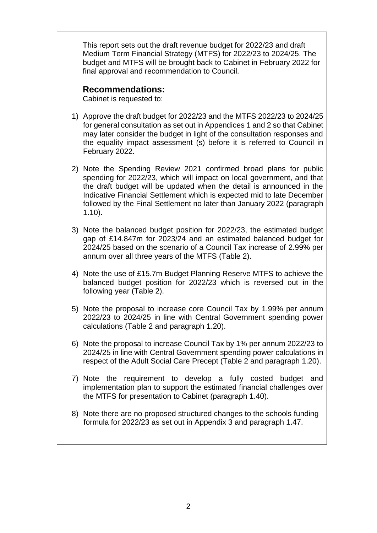This report sets out the draft revenue budget for 2022/23 and draft Medium Term Financial Strategy (MTFS) for 2022/23 to 2024/25. The budget and MTFS will be brought back to Cabinet in February 2022 for final approval and recommendation to Council.

#### **Recommendations:**

Cabinet is requested to:

- 1) Approve the draft budget for 2022/23 and the MTFS 2022/23 to 2024/25 for general consultation as set out in Appendices 1 and 2 so that Cabinet may later consider the budget in light of the consultation responses and the equality impact assessment (s) before it is referred to Council in February 2022.
- 2) Note the Spending Review 2021 confirmed broad plans for public spending for 2022/23, which will impact on local government, and that the draft budget will be updated when the detail is announced in the Indicative Financial Settlement which is expected mid to late December followed by the Final Settlement no later than January 2022 (paragraph 1.10).
- 3) Note the balanced budget position for 2022/23, the estimated budget gap of £14.847m for 2023/24 and an estimated balanced budget for 2024/25 based on the scenario of a Council Tax increase of 2.99% per annum over all three years of the MTFS (Table 2).
- 4) Note the use of £15.7m Budget Planning Reserve MTFS to achieve the balanced budget position for 2022/23 which is reversed out in the following year (Table 2).
- 5) Note the proposal to increase core Council Tax by 1.99% per annum 2022/23 to 2024/25 in line with Central Government spending power calculations (Table 2 and paragraph 1.20).
- 6) Note the proposal to increase Council Tax by 1% per annum 2022/23 to 2024/25 in line with Central Government spending power calculations in respect of the Adult Social Care Precept (Table 2 and paragraph 1.20).
- 7) Note the requirement to develop a fully costed budget and implementation plan to support the estimated financial challenges over the MTFS for presentation to Cabinet (paragraph 1.40).
- 8) Note there are no proposed structured changes to the schools funding formula for 2022/23 as set out in Appendix 3 and paragraph 1.47.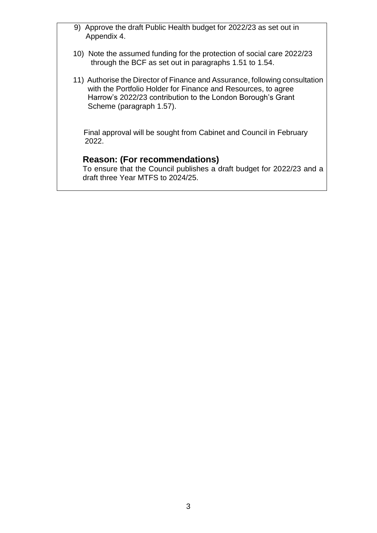- 9) Approve the draft Public Health budget for 2022/23 as set out in Appendix 4.
- 10) Note the assumed funding for the protection of social care 2022/23 through the BCF as set out in paragraphs 1.51 to 1.54.
- 11) Authorise the Director of Finance and Assurance, following consultation with the Portfolio Holder for Finance and Resources, to agree Harrow's 2022/23 contribution to the London Borough's Grant Scheme (paragraph 1.57).

 Final approval will be sought from Cabinet and Council in February 2022.

# **Reason: (For recommendations)**

To ensure that the Council publishes a draft budget for 2022/23 and a draft three Year MTFS to 2024/25.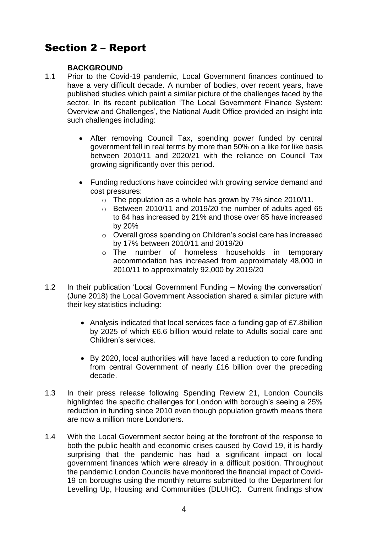# Section 2 – Report

#### **BACKGROUND**

- 1.1 Prior to the Covid-19 pandemic, Local Government finances continued to have a very difficult decade. A number of bodies, over recent years, have published studies which paint a similar picture of the challenges faced by the sector. In its recent publication 'The Local Government Finance System: Overview and Challenges', the National Audit Office provided an insight into such challenges including:
	- After removing Council Tax, spending power funded by central government fell in real terms by more than 50% on a like for like basis between 2010/11 and 2020/21 with the reliance on Council Tax growing significantly over this period.
	- Funding reductions have coincided with growing service demand and cost pressures:
		- $\circ$  The population as a whole has grown by 7% since 2010/11.
		- o Between 2010/11 and 2019/20 the number of adults aged 65 to 84 has increased by 21% and those over 85 have increased by 20%
		- o Overall gross spending on Children's social care has increased by 17% between 2010/11 and 2019/20
		- o The number of homeless households in temporary accommodation has increased from approximately 48,000 in 2010/11 to approximately 92,000 by 2019/20
- 1.2 In their publication 'Local Government Funding Moving the conversation' (June 2018) the Local Government Association shared a similar picture with their key statistics including:
	- Analysis indicated that local services face a funding gap of £7.8billion by 2025 of which £6.6 billion would relate to Adults social care and Children's services.
	- By 2020, local authorities will have faced a reduction to core funding from central Government of nearly £16 billion over the preceding decade.
- 1.3 In their press release following Spending Review 21, London Councils highlighted the specific challenges for London with borough's seeing a 25% reduction in funding since 2010 even though population growth means there are now a million more Londoners.
- 1.4 With the Local Government sector being at the forefront of the response to both the public health and economic crises caused by Covid 19, it is hardly surprising that the pandemic has had a significant impact on local government finances which were already in a difficult position. Throughout the pandemic London Councils have monitored the financial impact of Covid-19 on boroughs using the monthly returns submitted to the Department for Levelling Up, Housing and Communities (DLUHC). Current findings show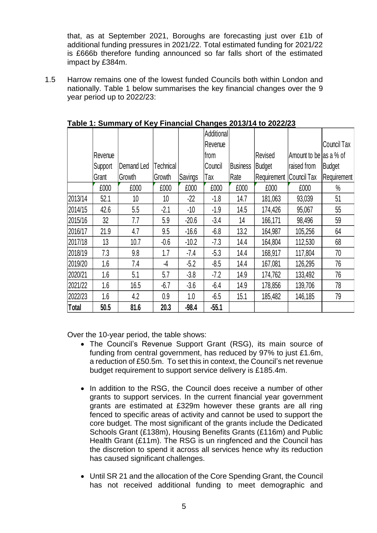that, as at September 2021, Boroughs are forecasting just over £1b of additional funding pressures in 2021/22. Total estimated funding for 2021/22 is £666b therefore funding announced so far falls short of the estimated impact by £384m.

1.5 Harrow remains one of the lowest funded Councils both within London and nationally. Table 1 below summarises the key financial changes over the 9 year period up to 2022/23:

|              |         |                 |                 |         | Additional |                 |               |                        |                    |
|--------------|---------|-----------------|-----------------|---------|------------|-----------------|---------------|------------------------|--------------------|
|              |         |                 |                 |         | Revenue    |                 |               |                        | <b>Council Tax</b> |
|              | Revenue |                 |                 |         | from       |                 | Revised       | Amount to be as a % of |                    |
|              | Support | Demand Led      | Technical       |         | Council    | <b>Business</b> | <b>Budget</b> | raised from            | <b>Budget</b>      |
|              | Grant   | Growth          | Growth          | Savings | Tax        | Rate            | Requirement   | Council Tax            | Requirement        |
|              | £000    | £000            | £000            | £000    | £000       | £000            | £000          | £000                   | $\frac{0}{0}$      |
| 2013/14      | 52.1    | 10 <sup>°</sup> | 10 <sup>°</sup> | $-22$   | $-1.8$     | 14.7            | 181,063       | 93,039                 | 51                 |
| 2014/15      | 42.6    | 5.5             | $-2.1$          | $-10$   | $-1.9$     | 14.5            | 174,426       | 95,067                 | 55                 |
| 2015/16      | 32      | 7.7             | 5.9             | $-20.6$ | $-3.4$     | 14              | 166,171       | 98,496                 | 59                 |
| 2016/17      | 21.9    | 4.7             | 9.5             | $-16.6$ | $-6.8$     | 13.2            | 164,987       | 105,256                | 64                 |
| 2017/18      | 13      | 10.7            | $-0.6$          | $-10.2$ | $-7.3$     | 14.4            | 164,804       | 112,530                | 68                 |
| 2018/19      | 7.3     | 9.8             | 1.7             | $-7.4$  | $-5.3$     | 14.4            | 168,917       | 117,804                | 70                 |
| 2019/20      | 1.6     | 7.4             | -4              | $-5.2$  | $-8.5$     | 14.4            | 167,081       | 126,295                | 76                 |
| 2020/21      | 1.6     | 5.1             | 5.7             | $-3.8$  | $-7.2$     | 14.9            | 174,762       | 133,492                | 76                 |
| 2021/22      | 1.6     | 16.5            | $-6.7$          | $-3.6$  | $-6.4$     | 14.9            | 178,856       | 139,706                | 78                 |
| 2022/23      | 1.6     | 4.2             | 0.9             | 1.0     | $-6.5$     | 15.1            | 185,482       | 146,185                | 79                 |
| <b>Total</b> | 50.5    | 81.6            | 20.3            | $-98.4$ | $-55.1$    |                 |               |                        |                    |

**Table 1: Summary of Key Financial Changes 2013/14 to 2022/23**

Over the 10-year period, the table shows:

- The Council's Revenue Support Grant (RSG), its main source of funding from central government, has reduced by 97% to just £1.6m, a reduction of £50.5m. To set this in context, the Council's net revenue budget requirement to support service delivery is £185.4m.
- In addition to the RSG, the Council does receive a number of other grants to support services. In the current financial year government grants are estimated at £329m however these grants are all ring fenced to specific areas of activity and cannot be used to support the core budget. The most significant of the grants include the Dedicated Schools Grant (£138m), Housing Benefits Grants (£116m) and Public Health Grant (£11m). The RSG is un ringfenced and the Council has the discretion to spend it across all services hence why its reduction has caused significant challenges.
- Until SR 21 and the allocation of the Core Spending Grant, the Council has not received additional funding to meet demographic and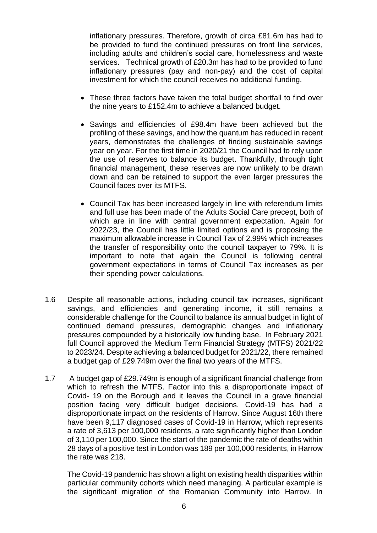inflationary pressures. Therefore, growth of circa £81.6m has had to be provided to fund the continued pressures on front line services, including adults and children's social care, homelessness and waste services. Technical growth of £20.3m has had to be provided to fund inflationary pressures (pay and non-pay) and the cost of capital investment for which the council receives no additional funding.

- These three factors have taken the total budget shortfall to find over the nine years to £152.4m to achieve a balanced budget.
- Savings and efficiencies of £98.4m have been achieved but the profiling of these savings, and how the quantum has reduced in recent years, demonstrates the challenges of finding sustainable savings year on year. For the first time in 2020/21 the Council had to rely upon the use of reserves to balance its budget. Thankfully, through tight financial management, these reserves are now unlikely to be drawn down and can be retained to support the even larger pressures the Council faces over its MTFS.
- Council Tax has been increased largely in line with referendum limits and full use has been made of the Adults Social Care precept, both of which are in line with central government expectation. Again for 2022/23, the Council has little limited options and is proposing the maximum allowable increase in Council Tax of 2.99% which increases the transfer of responsibility onto the council taxpayer to 79%. It is important to note that again the Council is following central government expectations in terms of Council Tax increases as per their spending power calculations.
- 1.6 Despite all reasonable actions, including council tax increases, significant savings, and efficiencies and generating income, it still remains a considerable challenge for the Council to balance its annual budget in light of continued demand pressures, demographic changes and inflationary pressures compounded by a historically low funding base. In February 2021 full Council approved the Medium Term Financial Strategy (MTFS) 2021/22 to 2023/24. Despite achieving a balanced budget for 2021/22, there remained a budget gap of £29.749m over the final two years of the MTFS.
- 1.7 A budget gap of £29.749m is enough of a significant financial challenge from which to refresh the MTFS. Factor into this a disproportionate impact of Covid- 19 on the Borough and it leaves the Council in a grave financial position facing very difficult budget decisions. Covid-19 has had a disproportionate impact on the residents of Harrow. Since August 16th there have been 9,117 diagnosed cases of Covid-19 in Harrow, which represents a rate of 3,613 per 100,000 residents, a rate significantly higher than London of 3,110 per 100,000. Since the start of the pandemic the rate of deaths within 28 days of a positive test in London was 189 per 100,000 residents, in Harrow the rate was 218.

The Covid-19 pandemic has shown a light on existing health disparities within particular community cohorts which need managing. A particular example is the significant migration of the Romanian Community into Harrow. In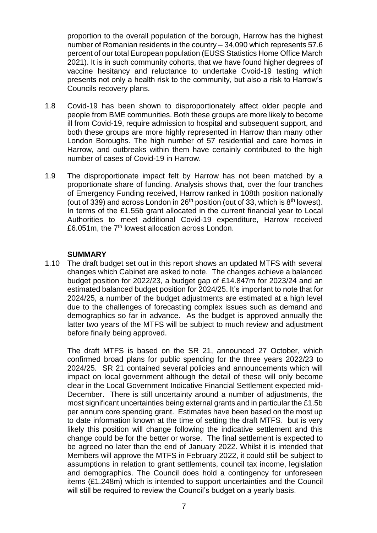proportion to the overall population of the borough, Harrow has the highest number of Romanian residents in the country – 34,090 which represents 57.6 percent of our total European population (EUSS Statistics Home Office March 2021). It is in such community cohorts, that we have found higher degrees of vaccine hesitancy and reluctance to undertake Cvoid-19 testing which presents not only a health risk to the community, but also a risk to Harrow's Councils recovery plans.

- 1.8 Covid-19 has been shown to disproportionately affect older people and people from BME communities. Both these groups are more likely to become ill from Covid-19, require admission to hospital and subsequent support, and both these groups are more highly represented in Harrow than many other London Boroughs. The high number of 57 residential and care homes in Harrow, and outbreaks within them have certainly contributed to the high number of cases of Covid-19 in Harrow.
- 1.9 The disproportionate impact felt by Harrow has not been matched by a proportionate share of funding. Analysis shows that, over the four tranches of Emergency Funding received, Harrow ranked in 108th position nationally (out of 339) and across London in  $26<sup>th</sup>$  position (out of 33, which is  $8<sup>th</sup>$  lowest). In terms of the £1.55b grant allocated in the current financial year to Local Authorities to meet additional Covid-19 expenditure, Harrow received £6.051m, the 7<sup>th</sup> lowest allocation across London.

#### **SUMMARY**

1.10 The draft budget set out in this report shows an updated MTFS with several changes which Cabinet are asked to note. The changes achieve a balanced budget position for 2022/23, a budget gap of £14.847m for 2023/24 and an estimated balanced budget position for 2024/25. It's important to note that for 2024/25, a number of the budget adjustments are estimated at a high level due to the challenges of forecasting complex issues such as demand and demographics so far in advance. As the budget is approved annually the latter two years of the MTFS will be subject to much review and adjustment before finally being approved.

The draft MTFS is based on the SR 21, announced 27 October, which confirmed broad plans for public spending for the three years 2022/23 to 2024/25. SR 21 contained several policies and announcements which will impact on local government although the detail of these will only become clear in the Local Government Indicative Financial Settlement expected mid-December. There is still uncertainty around a number of adjustments, the most significant uncertainties being external grants and in particular the £1.5b per annum core spending grant. Estimates have been based on the most up to date information known at the time of setting the draft MTFS. but is very likely this position will change following the indicative settlement and this change could be for the better or worse. The final settlement is expected to be agreed no later than the end of January 2022. Whilst it is intended that Members will approve the MTFS in February 2022, it could still be subject to assumptions in relation to grant settlements, council tax income, legislation and demographics. The Council does hold a contingency for unforeseen items (£1.248m) which is intended to support uncertainties and the Council will still be required to review the Council's budget on a yearly basis.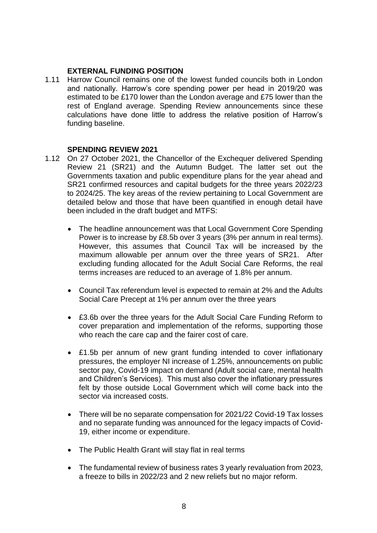#### **EXTERNAL FUNDING POSITION**

1.11 Harrow Council remains one of the lowest funded councils both in London and nationally. Harrow's core spending power per head in 2019/20 was estimated to be £170 lower than the London average and £75 lower than the rest of England average. Spending Review announcements since these calculations have done little to address the relative position of Harrow's funding baseline.

#### **SPENDING REVIEW 2021**

- 1.12 On 27 October 2021, the Chancellor of the Exchequer delivered Spending Review 21 (SR21) and the Autumn Budget. The latter set out the Governments taxation and public expenditure plans for the year ahead and SR21 confirmed resources and capital budgets for the three years 2022/23 to 2024/25. The key areas of the review pertaining to Local Government are detailed below and those that have been quantified in enough detail have been included in the draft budget and MTFS:
	- The headline announcement was that Local Government Core Spending Power is to increase by £8.5b over 3 years (3% per annum in real terms). However, this assumes that Council Tax will be increased by the maximum allowable per annum over the three years of SR21. After excluding funding allocated for the Adult Social Care Reforms, the real terms increases are reduced to an average of 1.8% per annum.
	- Council Tax referendum level is expected to remain at 2% and the Adults Social Care Precept at 1% per annum over the three years
	- £3.6b over the three years for the Adult Social Care Funding Reform to cover preparation and implementation of the reforms, supporting those who reach the care cap and the fairer cost of care.
	- £1.5b per annum of new grant funding intended to cover inflationary pressures, the employer NI increase of 1.25%, announcements on public sector pay, Covid-19 impact on demand (Adult social care, mental health and Children's Services). This must also cover the inflationary pressures felt by those outside Local Government which will come back into the sector via increased costs.
	- There will be no separate compensation for 2021/22 Covid-19 Tax losses and no separate funding was announced for the legacy impacts of Covid-19, either income or expenditure.
	- The Public Health Grant will stay flat in real terms
	- The fundamental review of business rates 3 yearly revaluation from 2023, a freeze to bills in 2022/23 and 2 new reliefs but no major reform.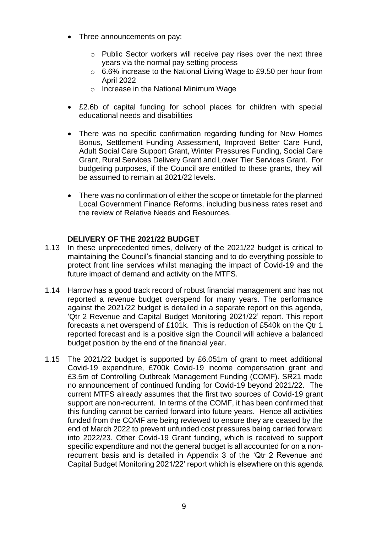- Three announcements on pay:
	- o Public Sector workers will receive pay rises over the next three years via the normal pay setting process
	- o 6.6% increase to the National Living Wage to £9.50 per hour from April 2022
	- o Increase in the National Minimum Wage
- £2.6b of capital funding for school places for children with special educational needs and disabilities
- There was no specific confirmation regarding funding for New Homes Bonus, Settlement Funding Assessment, Improved Better Care Fund, Adult Social Care Support Grant, Winter Pressures Funding, Social Care Grant, Rural Services Delivery Grant and Lower Tier Services Grant. For budgeting purposes, if the Council are entitled to these grants, they will be assumed to remain at 2021/22 levels.
- There was no confirmation of either the scope or timetable for the planned Local Government Finance Reforms, including business rates reset and the review of Relative Needs and Resources.

# **DELIVERY OF THE 2021/22 BUDGET**

- 1.13 In these unprecedented times, delivery of the 2021/22 budget is critical to maintaining the Council's financial standing and to do everything possible to protect front line services whilst managing the impact of Covid-19 and the future impact of demand and activity on the MTFS.
- 1.14 Harrow has a good track record of robust financial management and has not reported a revenue budget overspend for many years. The performance against the 2021/22 budget is detailed in a separate report on this agenda, 'Qtr 2 Revenue and Capital Budget Monitoring 2021/22' report. This report forecasts a net overspend of £101k. This is reduction of £540k on the Qtr 1 reported forecast and is a positive sign the Council will achieve a balanced budget position by the end of the financial year.
- 1.15 The 2021/22 budget is supported by £6.051m of grant to meet additional Covid-19 expenditure, £700k Covid-19 income compensation grant and £3.5m of Controlling Outbreak Management Funding (COMF). SR21 made no announcement of continued funding for Covid-19 beyond 2021/22. The current MTFS already assumes that the first two sources of Covid-19 grant support are non-recurrent. In terms of the COMF, it has been confirmed that this funding cannot be carried forward into future years. Hence all activities funded from the COMF are being reviewed to ensure they are ceased by the end of March 2022 to prevent unfunded cost pressures being carried forward into 2022/23. Other Covid-19 Grant funding, which is received to support specific expenditure and not the general budget is all accounted for on a nonrecurrent basis and is detailed in Appendix 3 of the 'Qtr 2 Revenue and Capital Budget Monitoring 2021/22' report which is elsewhere on this agenda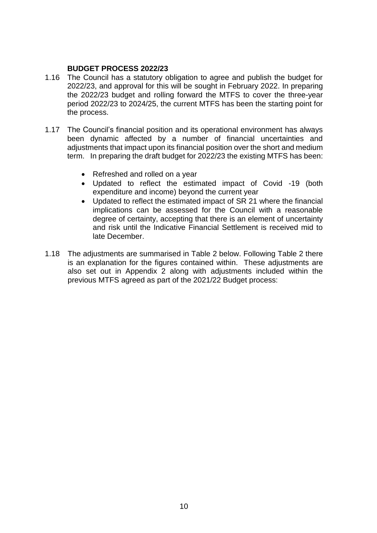#### **BUDGET PROCESS 2022/23**

- 1.16 The Council has a statutory obligation to agree and publish the budget for 2022/23, and approval for this will be sought in February 2022. In preparing the 2022/23 budget and rolling forward the MTFS to cover the three-year period 2022/23 to 2024/25, the current MTFS has been the starting point for the process.
- 1.17 The Council's financial position and its operational environment has always been dynamic affected by a number of financial uncertainties and adjustments that impact upon its financial position over the short and medium term. In preparing the draft budget for 2022/23 the existing MTFS has been:
	- Refreshed and rolled on a year
	- Updated to reflect the estimated impact of Covid -19 (both expenditure and income) beyond the current year
	- Updated to reflect the estimated impact of SR 21 where the financial implications can be assessed for the Council with a reasonable degree of certainty, accepting that there is an element of uncertainty and risk until the Indicative Financial Settlement is received mid to late December.
- 1.18 The adjustments are summarised in Table 2 below. Following Table 2 there is an explanation for the figures contained within. These adjustments are also set out in Appendix 2 along with adjustments included within the previous MTFS agreed as part of the 2021/22 Budget process: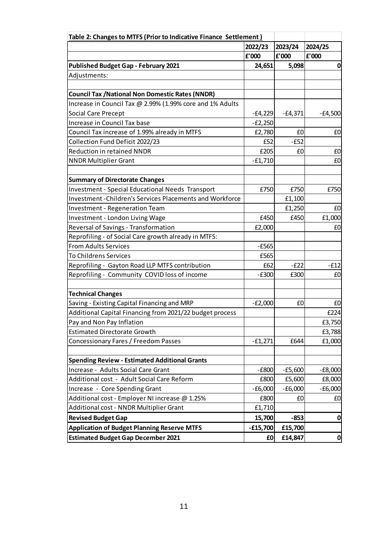| Table 2: Changes to MTFS (Prior to Indicative Finance Settlement) |            |           |              |
|-------------------------------------------------------------------|------------|-----------|--------------|
|                                                                   | 2022/23    | 2023/24   | 2024/25      |
|                                                                   | f'000      | £'000     | £'000        |
| <b>Published Budget Gap - February 2021</b>                       | 24,651     | 5,098     | $\mathbf 0$  |
| Adjustments:                                                      |            |           |              |
|                                                                   |            |           |              |
| <b>Council Tax / National Non Domestic Rates (NNDR)</b>           |            |           |              |
| Increase in Council Tax @ 2.99% (1.99% core and 1% Adults         |            |           |              |
| Social Care Precept                                               | $-f4,229$  | $-f4,371$ | $-£4,500$    |
| Increase in Council Tax base                                      | $-E2,250$  |           |              |
| Council Tax increase of 1.99% already in MTFS                     | £2,780     | £0        | £0           |
| Collection Fund Deficit 2022/23                                   | £52        | $-E52$    |              |
| <b>Reduction in retained NNDR</b>                                 | £205       | £0        | £0           |
| <b>NNDR Multiplier Grant</b>                                      | $-£1,710$  |           | £0           |
|                                                                   |            |           |              |
| <b>Summary of Directorate Changes</b>                             |            |           |              |
| <b>Investment - Special Educational Needs Transport</b>           | £750       | £750      | £750         |
| <b>Investment-Children's Services Placements and Workforce</b>    |            | £1,100    |              |
| <b>Investment - Regeneration Team</b>                             |            | £1,250    | £0           |
| Investment - London Living Wage                                   | £450       | £450      | £1,000       |
| Reversal of Savings - Transformation                              | £2,000     |           | £0           |
| Reprofiling - of Social Care growth already in MTFS:              |            |           |              |
| <b>From Adults Services</b>                                       | $-E565$    |           |              |
| To Childrens Services                                             | £565       |           |              |
| Reprofiling - Gayton Road LLP MTFS contribution                   | £62        | $-E22$    | $-E12$       |
| Reprofiling - Community COVID loss of income                      | $-E300$    | £300      | £0           |
|                                                                   |            |           |              |
| <b>Technical Changes</b>                                          |            |           |              |
| Saving - Existing Capital Financing and MRP                       | $-E2,000$  | £0        | £0           |
| Additional Capital Financing from 2021/22 budget process          |            |           | £224         |
| Pay and Non Pay Inflation                                         |            |           | £3,750       |
| <b>Estimated Directorate Growth</b>                               |            |           | £3,788       |
| Concessionary Fares / Freedom Passes                              | $-f1,271$  | £644      | £1,000       |
|                                                                   |            |           |              |
| <b>Spending Review - Estimated Additional Grants</b>              |            |           |              |
| Increase - Adults Social Care Grant                               | $-E800$    | $-£5,600$ | $-E8,000$    |
| Additional cost - Adult Social Care Reform                        | £800       | £5,600    | £8,000       |
| Increase - Core Spending Grant                                    | $-£6,000$  | $-£6,000$ | $-£6,000$    |
| Additional cost - Employer NI increase @ 1.25%                    | £800       | £0        | £0           |
| Additional cost - NNDR Multiplier Grant                           | £1,710     |           |              |
| <b>Revised Budget Gap</b>                                         | 15,700     | $-853$    | $\mathbf 0$  |
| <b>Application of Budget Planning Reserve MTFS</b>                | $-£15,700$ | £15,700   |              |
| <b>Estimated Budget Gap December 2021</b>                         | £0         | £14,847   | $\mathbf{0}$ |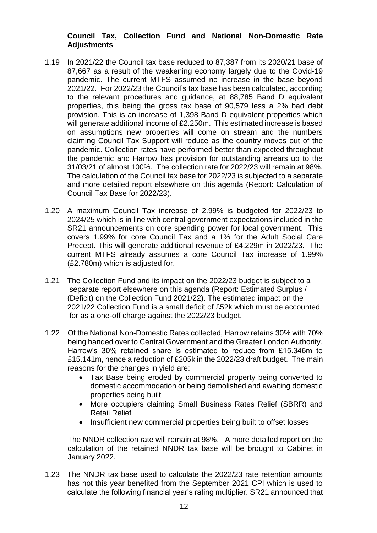# **Council Tax, Collection Fund and National Non-Domestic Rate Adjustments**

- 1.19 In 2021/22 the Council tax base reduced to 87,387 from its 2020/21 base of 87,667 as a result of the weakening economy largely due to the Covid-19 pandemic. The current MTFS assumed no increase in the base beyond 2021/22. For 2022/23 the Council's tax base has been calculated, according to the relevant procedures and guidance, at 88,785 Band D equivalent properties, this being the gross tax base of 90,579 less a 2% bad debt provision. This is an increase of 1,398 Band D equivalent properties which will generate additional income of £2.250m. This estimated increase is based on assumptions new properties will come on stream and the numbers claiming Council Tax Support will reduce as the country moves out of the pandemic. Collection rates have performed better than expected throughout the pandemic and Harrow has provision for outstanding arrears up to the 31/03/21 of almost 100%. The collection rate for 2022/23 will remain at 98%. The calculation of the Council tax base for 2022/23 is subjected to a separate and more detailed report elsewhere on this agenda (Report: Calculation of Council Tax Base for 2022/23).
- 1.20 A maximum Council Tax increase of 2.99% is budgeted for 2022/23 to 2024/25 which is in line with central government expectations included in the SR21 announcements on core spending power for local government. This covers 1.99% for core Council Tax and a 1% for the Adult Social Care Precept. This will generate additional revenue of £4.229m in 2022/23. The current MTFS already assumes a core Council Tax increase of 1.99% (£2.780m) which is adjusted for.
- 1.21 The Collection Fund and its impact on the 2022/23 budget is subject to a separate report elsewhere on this agenda (Report: Estimated Surplus / (Deficit) on the Collection Fund 2021/22). The estimated impact on the 2021/22 Collection Fund is a small deficit of £52k which must be accounted for as a one-off charge against the 2022/23 budget.
- 1.22 Of the National Non-Domestic Rates collected, Harrow retains 30% with 70% being handed over to Central Government and the Greater London Authority. Harrow's 30% retained share is estimated to reduce from £15.346m to £15.141m, hence a reduction of £205k in the 2022/23 draft budget. The main reasons for the changes in yield are:
	- Tax Base being eroded by commercial property being converted to domestic accommodation or being demolished and awaiting domestic properties being built
	- More occupiers claiming Small Business Rates Relief (SBRR) and Retail Relief
	- Insufficient new commercial properties being built to offset losses

The NNDR collection rate will remain at 98%. A more detailed report on the calculation of the retained NNDR tax base will be brought to Cabinet in January 2022.

1.23 The NNDR tax base used to calculate the 2022/23 rate retention amounts has not this year benefited from the September 2021 CPI which is used to calculate the following financial year's rating multiplier. SR21 announced that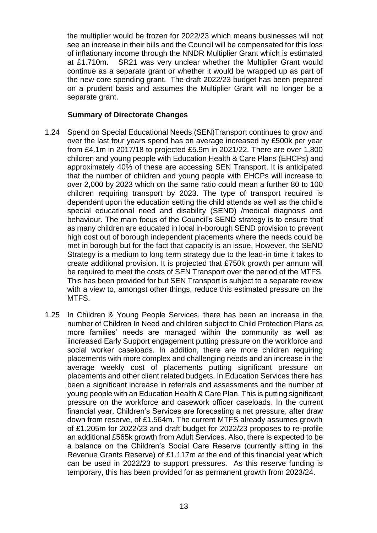the multiplier would be frozen for 2022/23 which means businesses will not see an increase in their bills and the Council will be compensated for this loss of inflationary income through the NNDR Multiplier Grant which is estimated at £1.710m. SR21 was very unclear whether the Multiplier Grant would continue as a separate grant or whether it would be wrapped up as part of the new core spending grant. The draft 2022/23 budget has been prepared on a prudent basis and assumes the Multiplier Grant will no longer be a separate grant.

#### **Summary of Directorate Changes**

- 1.24 Spend on Special Educational Needs (SEN)Transport continues to grow and over the last four years spend has on average increased by £500k per year from £4.1m in 2017/18 to projected £5.9m in 2021/22. There are over 1,800 children and young people with Education Health & Care Plans (EHCPs) and approximately 40% of these are accessing SEN Transport. It is anticipated that the number of children and young people with EHCPs will increase to over 2,000 by 2023 which on the same ratio could mean a further 80 to 100 children requiring transport by 2023. The type of transport required is dependent upon the education setting the child attends as well as the child's special educational need and disability (SEND) /medical diagnosis and behaviour. The main focus of the Council's SEND strategy is to ensure that as many children are educated in local in-borough SEND provision to prevent high cost out of borough independent placements where the needs could be met in borough but for the fact that capacity is an issue. However, the SEND Strategy is a medium to long term strategy due to the lead-in time it takes to create additional provision. It is projected that £750k growth per annum will be required to meet the costs of SEN Transport over the period of the MTFS. This has been provided for but SEN Transport is subject to a separate review with a view to, amongst other things, reduce this estimated pressure on the MTFS.
- 1.25 In Children & Young People Services, there has been an increase in the number of Children In Need and children subject to Child Protection Plans as more families' needs are managed within the community as well as iincreased Early Support engagement putting pressure on the workforce and social worker caseloads. In addition, there are more children requiring placements with more complex and challenging needs and an increase in the average weekly cost of placements putting significant pressure on placements and other client related budgets. In Education Services there has been a significant increase in referrals and assessments and the number of young people with an Education Health & Care Plan. This is putting significant pressure on the workforce and casework officer caseloads. In the current financial year, Children's Services are forecasting a net pressure, after draw down from reserve, of £1.564m. The current MTFS already assumes growth of £1.205m for 2022/23 and draft budget for 2022/23 proposes to re-profile an additional £565k growth from Adult Services. Also, there is expected to be a balance on the Children's Social Care Reserve (currently sitting in the Revenue Grants Reserve) of £1.117m at the end of this financial year which can be used in 2022/23 to support pressures. As this reserve funding is temporary, this has been provided for as permanent growth from 2023/24.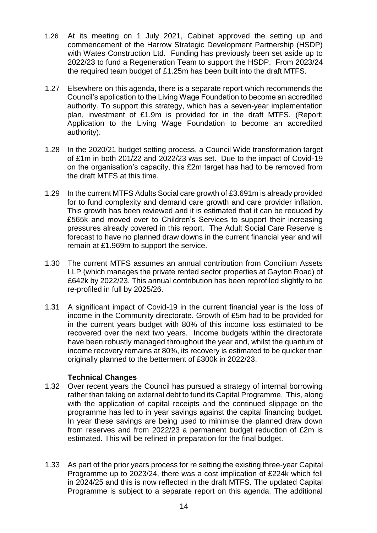- 1.26 At its meeting on 1 July 2021, Cabinet approved the setting up and commencement of the Harrow Strategic Development Partnership (HSDP) with Wates Construction Ltd. Funding has previously been set aside up to 2022/23 to fund a Regeneration Team to support the HSDP. From 2023/24 the required team budget of £1.25m has been built into the draft MTFS.
- 1.27 Elsewhere on this agenda, there is a separate report which recommends the Council's application to the Living Wage Foundation to become an accredited authority. To support this strategy, which has a seven-year implementation plan, investment of £1.9m is provided for in the draft MTFS. (Report: Application to the Living Wage Foundation to become an accredited authority).
- 1.28 In the 2020/21 budget setting process, a Council Wide transformation target of £1m in both 201/22 and 2022/23 was set. Due to the impact of Covid-19 on the organisation's capacity, this £2m target has had to be removed from the draft MTFS at this time.
- 1.29 In the current MTFS Adults Social care growth of £3.691m is already provided for to fund complexity and demand care growth and care provider inflation. This growth has been reviewed and it is estimated that it can be reduced by £565k and moved over to Children's Services to support their increasing pressures already covered in this report. The Adult Social Care Reserve is forecast to have no planned draw downs in the current financial year and will remain at £1.969m to support the service.
- 1.30 The current MTFS assumes an annual contribution from Concilium Assets LLP (which manages the private rented sector properties at Gayton Road) of £642k by 2022/23. This annual contribution has been reprofiled slightly to be re-profiled in full by 2025/26.
- 1.31 A significant impact of Covid-19 in the current financial year is the loss of income in the Community directorate. Growth of £5m had to be provided for in the current years budget with 80% of this income loss estimated to be recovered over the next two years. Income budgets within the directorate have been robustly managed throughout the year and, whilst the quantum of income recovery remains at 80%, its recovery is estimated to be quicker than originally planned to the betterment of £300k in 2022/23.

# **Technical Changes**

- 1.32 Over recent years the Council has pursued a strategy of internal borrowing rather than taking on external debt to fund its Capital Programme. This, along with the application of capital receipts and the continued slippage on the programme has led to in year savings against the capital financing budget. In year these savings are being used to minimise the planned draw down from reserves and from 2022/23 a permanent budget reduction of £2m is estimated. This will be refined in preparation for the final budget.
- 1.33 As part of the prior years process for re setting the existing three-year Capital Programme up to 2023/24, there was a cost implication of £224k which fell in 2024/25 and this is now reflected in the draft MTFS. The updated Capital Programme is subject to a separate report on this agenda. The additional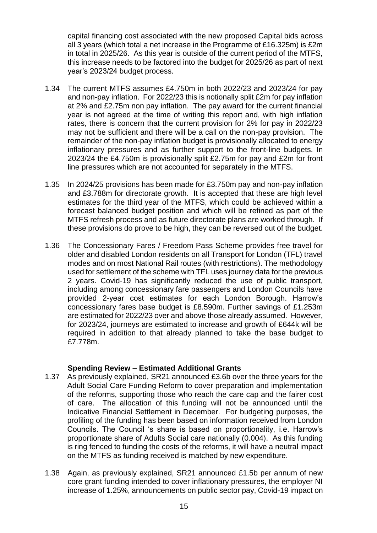capital financing cost associated with the new proposed Capital bids across all 3 years (which total a net increase in the Programme of £16.325m) is £2m in total in 2025/26. As this year is outside of the current period of the MTFS, this increase needs to be factored into the budget for 2025/26 as part of next year's 2023/24 budget process.

- 1.34 The current MTFS assumes £4.750m in both 2022/23 and 2023/24 for pay and non-pay inflation. For 2022/23 this is notionally split £2m for pay inflation at 2% and £2.75m non pay inflation. The pay award for the current financial year is not agreed at the time of writing this report and, with high inflation rates, there is concern that the current provision for 2% for pay in 2022/23 may not be sufficient and there will be a call on the non-pay provision. The remainder of the non-pay inflation budget is provisionally allocated to energy inflationary pressures and as further support to the front-line budgets. In 2023/24 the £4.750m is provisionally split £2.75m for pay and £2m for front line pressures which are not accounted for separately in the MTFS.
- 1.35 In 2024/25 provisions has been made for £3.750m pay and non-pay inflation and £3.788m for directorate growth. It is accepted that these are high level estimates for the third year of the MTFS, which could be achieved within a forecast balanced budget position and which will be refined as part of the MTFS refresh process and as future directorate plans are worked through. If these provisions do prove to be high, they can be reversed out of the budget.
- 1.36 The Concessionary Fares / Freedom Pass Scheme provides free travel for older and disabled London residents on all Transport for London (TFL) travel modes and on most National Rail routes (with restrictions). The methodology used for settlement of the scheme with TFL uses journey data for the previous 2 years. Covid-19 has significantly reduced the use of public transport, including among concessionary fare passengers and London Councils have provided 2-year cost estimates for each London Borough. Harrow's concessionary fares base budget is £8.590m. Further savings of £1.253m are estimated for 2022/23 over and above those already assumed. However, for 2023/24, journeys are estimated to increase and growth of £644k will be required in addition to that already planned to take the base budget to £7.778m.

#### **Spending Review – Estimated Additional Grants**

- 1.37 As previously explained, SR21 announced £3.6b over the three years for the Adult Social Care Funding Reform to cover preparation and implementation of the reforms, supporting those who reach the care cap and the fairer cost of care. The allocation of this funding will not be announced until the Indicative Financial Settlement in December. For budgeting purposes, the profiling of the funding has been based on information received from London Councils. The Council 's share is based on proportionality, i.e. Harrow's proportionate share of Adults Social care nationally (0.004). As this funding is ring fenced to funding the costs of the reforms, it will have a neutral impact on the MTFS as funding received is matched by new expenditure.
- 1.38 Again, as previously explained, SR21 announced £1.5b per annum of new core grant funding intended to cover inflationary pressures, the employer NI increase of 1.25%, announcements on public sector pay, Covid-19 impact on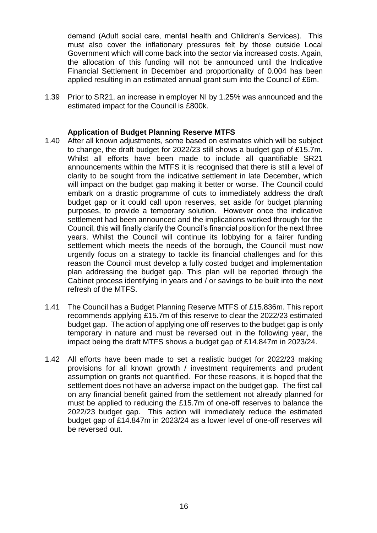demand (Adult social care, mental health and Children's Services). This must also cover the inflationary pressures felt by those outside Local Government which will come back into the sector via increased costs. Again, the allocation of this funding will not be announced until the Indicative Financial Settlement in December and proportionality of 0.004 has been applied resulting in an estimated annual grant sum into the Council of £6m.

1.39 Prior to SR21, an increase in employer NI by 1.25% was announced and the estimated impact for the Council is £800k.

#### **Application of Budget Planning Reserve MTFS**

- 1.40 After all known adjustments, some based on estimates which will be subject to change, the draft budget for 2022/23 still shows a budget gap of £15.7m. Whilst all efforts have been made to include all quantifiable SR21 announcements within the MTFS it is recognised that there is still a level of clarity to be sought from the indicative settlement in late December, which will impact on the budget gap making it better or worse. The Council could embark on a drastic programme of cuts to immediately address the draft budget gap or it could call upon reserves, set aside for budget planning purposes, to provide a temporary solution. However once the indicative settlement had been announced and the implications worked through for the Council, this will finally clarify the Council's financial position for the next three years. Whilst the Council will continue its lobbying for a fairer funding settlement which meets the needs of the borough, the Council must now urgently focus on a strategy to tackle its financial challenges and for this reason the Council must develop a fully costed budget and implementation plan addressing the budget gap. This plan will be reported through the Cabinet process identifying in years and / or savings to be built into the next refresh of the MTFS.
- 1.41 The Council has a Budget Planning Reserve MTFS of £15.836m. This report recommends applying £15.7m of this reserve to clear the 2022/23 estimated budget gap. The action of applying one off reserves to the budget gap is only temporary in nature and must be reversed out in the following year, the impact being the draft MTFS shows a budget gap of £14.847m in 2023/24.
- 1.42 All efforts have been made to set a realistic budget for 2022/23 making provisions for all known growth / investment requirements and prudent assumption on grants not quantified. For these reasons, it is hoped that the settlement does not have an adverse impact on the budget gap. The first call on any financial benefit gained from the settlement not already planned for must be applied to reducing the £15.7m of one-off reserves to balance the 2022/23 budget gap. This action will immediately reduce the estimated budget gap of £14.847m in 2023/24 as a lower level of one-off reserves will be reversed out.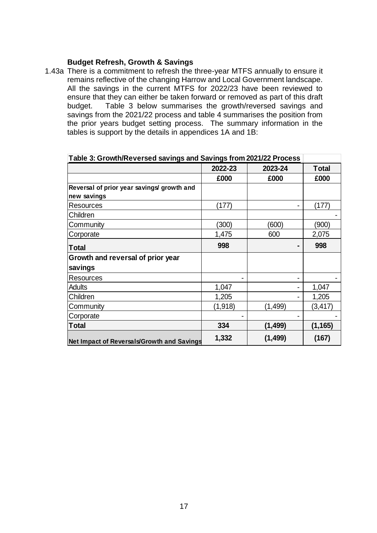#### **Budget Refresh, Growth & Savings**

1.43a There is a commitment to refresh the three-year MTFS annually to ensure it remains reflective of the changing Harrow and Local Government landscape. All the savings in the current MTFS for 2022/23 have been reviewed to ensure that they can either be taken forward or removed as part of this draft budget. Table 3 below summarises the growth/reversed savings and savings from the 2021/22 process and table 4 summarises the position from the prior years budget setting process. The summary information in the tables is support by the details in appendices 1A and 1B:

| Table 3: Growth/Reversed savings and Savings from 2021/22 Process |         |          |              |
|-------------------------------------------------------------------|---------|----------|--------------|
|                                                                   | 2022-23 | 2023-24  | <b>Total</b> |
|                                                                   | £000    | £000     | £000         |
| Reversal of prior year savings/ growth and                        |         |          |              |
| new savings                                                       |         |          |              |
| <b>Resources</b>                                                  | (177)   |          | (177)        |
| Children                                                          |         |          |              |
| Community                                                         | (300)   | (600)    | (900)        |
| Corporate                                                         | 1,475   | 600      | 2,075        |
| <b>Total</b>                                                      | 998     |          | 998          |
| Growth and reversal of prior year                                 |         |          |              |
| savings                                                           |         |          |              |
| <b>Resources</b>                                                  |         |          |              |
| <b>Adults</b>                                                     | 1,047   |          | 1,047        |
| Children                                                          | 1,205   |          | 1,205        |
| Community                                                         | (1,918) | (1, 499) | (3, 417)     |
| Corporate                                                         |         |          |              |
| <b>Total</b>                                                      | 334     | (1, 499) | (1, 165)     |
| Net Impact of Reversals/Growth and Savings                        | 1,332   | (1, 499) | (167)        |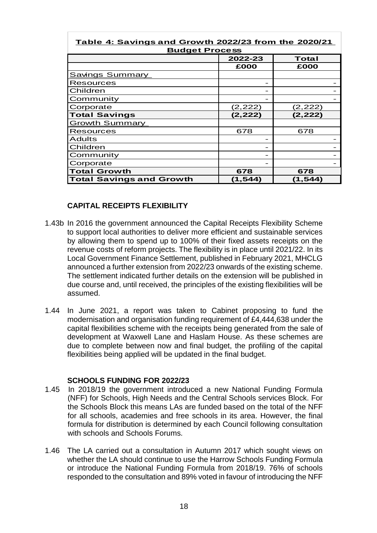| <u>Table 4: Savings and Growth 2022/23 from the 2020/21</u><br><b>Budget Process</b> |          |          |  |  |
|--------------------------------------------------------------------------------------|----------|----------|--|--|
|                                                                                      | 2022-23  | Total    |  |  |
|                                                                                      | £000     | £000     |  |  |
| <b>Savings Summary</b>                                                               |          |          |  |  |
| <b>Resources</b>                                                                     |          |          |  |  |
| Children                                                                             |          |          |  |  |
| Community                                                                            |          |          |  |  |
| Corporate                                                                            | (2, 222) | (2,222)  |  |  |
| <b>Total Savings</b>                                                                 | (2, 222) | (2,222)  |  |  |
| <b>Growth Summary</b>                                                                |          |          |  |  |
| <b>Resources</b>                                                                     | 678      | 678      |  |  |
| <b>Adults</b>                                                                        |          |          |  |  |
| Children                                                                             |          |          |  |  |
| Community                                                                            |          |          |  |  |
| Corporate                                                                            |          |          |  |  |
| <b>Total Growth</b>                                                                  | 678      | 678      |  |  |
| <b>Total Savings and Growth</b>                                                      | (1, 544) | (1, 544) |  |  |

#### **CAPITAL RECEIPTS FLEXIBILITY**

- 1.43b In 2016 the government announced the Capital Receipts Flexibility Scheme to support local authorities to deliver more efficient and sustainable services by allowing them to spend up to 100% of their fixed assets receipts on the revenue costs of reform projects. The flexibility is in place until 2021/22. In its Local Government Finance Settlement, published in February 2021, MHCLG announced a further extension from 2022/23 onwards of the existing scheme. The settlement indicated further details on the extension will be published in due course and, until received, the principles of the existing flexibilities will be assumed.
- 1.44 In June 2021, a report was taken to Cabinet proposing to fund the modernisation and organisation funding requirement of £4,444,638 under the capital flexibilities scheme with the receipts being generated from the sale of development at Waxwell Lane and Haslam House. As these schemes are due to complete between now and final budget, the profiling of the capital flexibilities being applied will be updated in the final budget.

#### **SCHOOLS FUNDING FOR 2022/23**

- 1.45 In 2018/19 the government introduced a new National Funding Formula (NFF) for Schools, High Needs and the Central Schools services Block. For the Schools Block this means LAs are funded based on the total of the NFF for all schools, academies and free schools in its area. However, the final formula for distribution is determined by each Council following consultation with schools and Schools Forums.
- 1.46 The LA carried out a consultation in Autumn 2017 which sought views on whether the LA should continue to use the Harrow Schools Funding Formula or introduce the National Funding Formula from 2018/19. 76% of schools responded to the consultation and 89% voted in favour of introducing the NFF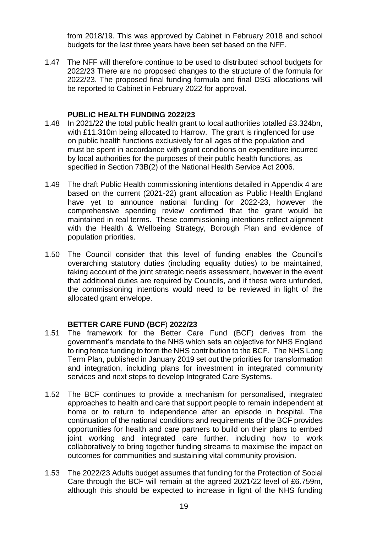from 2018/19. This was approved by Cabinet in February 2018 and school budgets for the last three years have been set based on the NFF.

1.47 The NFF will therefore continue to be used to distributed school budgets for 2022/23 There are no proposed changes to the structure of the formula for 2022/23. The proposed final funding formula and final DSG allocations will be reported to Cabinet in February 2022 for approval.

#### **PUBLIC HEALTH FUNDING 2022/23**

- 1.48 In 2021/22 the total public health grant to local authorities totalled £3.324bn, with £11.310m being allocated to Harrow. The grant is ringfenced for use on public health functions exclusively for all ages of the population and must be spent in accordance with grant conditions on expenditure incurred by local authorities for the purposes of their public health functions, as specified in Section 73B(2) of the National Health Service Act 2006.
- 1.49 The draft Public Health commissioning intentions detailed in Appendix 4 are based on the current (2021-22) grant allocation as Public Health England have yet to announce national funding for 2022-23, however the comprehensive spending review confirmed that the grant would be maintained in real terms. These commissioning intentions reflect alignment with the Health & Wellbeing Strategy, Borough Plan and evidence of population priorities.
- 1.50 The Council consider that this level of funding enables the Council's overarching statutory duties (including equality duties) to be maintained, taking account of the joint strategic needs assessment, however in the event that additional duties are required by Councils, and if these were unfunded, the commissioning intentions would need to be reviewed in light of the allocated grant envelope.

# **BETTER CARE FUND (BCF**) **2022/23**

- 1.51 The framework for the Better Care Fund (BCF) derives from the government's mandate to the NHS which sets an objective for NHS England to ring fence funding to form the NHS contribution to the BCF. The NHS Long Term Plan, published in January 2019 set out the priorities for transformation and integration, including plans for investment in integrated community services and next steps to develop Integrated Care Systems.
- 1.52 The BCF continues to provide a mechanism for personalised, integrated approaches to health and care that support people to remain independent at home or to return to independence after an episode in hospital. The continuation of the national conditions and requirements of the BCF provides opportunities for health and care partners to build on their plans to embed joint working and integrated care further, including how to work collaboratively to bring together funding streams to maximise the impact on outcomes for communities and sustaining vital community provision.
- 1.53 The 2022/23 Adults budget assumes that funding for the Protection of Social Care through the BCF will remain at the agreed 2021/22 level of £6.759m, although this should be expected to increase in light of the NHS funding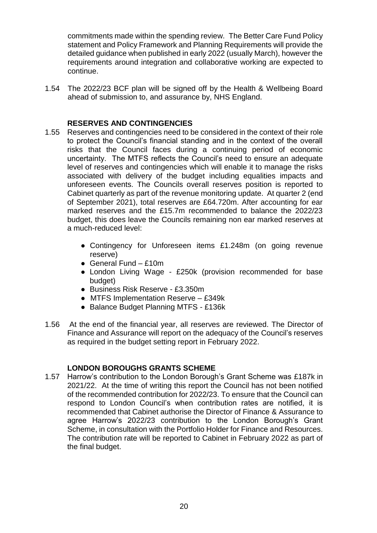commitments made within the spending review. The Better Care Fund Policy statement and Policy Framework and Planning Requirements will provide the detailed guidance when published in early 2022 (usually March), however the requirements around integration and collaborative working are expected to continue.

1.54 The 2022/23 BCF plan will be signed off by the Health & Wellbeing Board ahead of submission to, and assurance by, NHS England.

#### **RESERVES AND CONTINGENCIES**

- 1.55 Reserves and contingencies need to be considered in the context of their role to protect the Council's financial standing and in the context of the overall risks that the Council faces during a continuing period of economic uncertainty. The MTFS reflects the Council's need to ensure an adequate level of reserves and contingencies which will enable it to manage the risks associated with delivery of the budget including equalities impacts and unforeseen events. The Councils overall reserves position is reported to Cabinet quarterly as part of the revenue monitoring update. At quarter 2 (end of September 2021), total reserves are £64.720m. After accounting for ear marked reserves and the £15.7m recommended to balance the 2022/23 budget, this does leave the Councils remaining non ear marked reserves at a much-reduced level:
	- Contingency for Unforeseen items £1.248m (on going revenue reserve)
	- $\bullet$  General Fund £10m
	- London Living Wage £250k (provision recommended for base budget)
	- Business Risk Reserve £3.350m
	- MTFS Implementation Reserve £349k
	- Balance Budget Planning MTFS £136k
- 1.56 At the end of the financial year, all reserves are reviewed. The Director of Finance and Assurance will report on the adequacy of the Council's reserves as required in the budget setting report in February 2022.

# **LONDON BOROUGHS GRANTS SCHEME**

1.57 Harrow's contribution to the London Borough's Grant Scheme was £187k in 2021/22. At the time of writing this report the Council has not been notified of the recommended contribution for 2022/23. To ensure that the Council can respond to London Council's when contribution rates are notified, it is recommended that Cabinet authorise the Director of Finance & Assurance to agree Harrow's 2022/23 contribution to the London Borough's Grant Scheme, in consultation with the Portfolio Holder for Finance and Resources. The contribution rate will be reported to Cabinet in February 2022 as part of the final budget.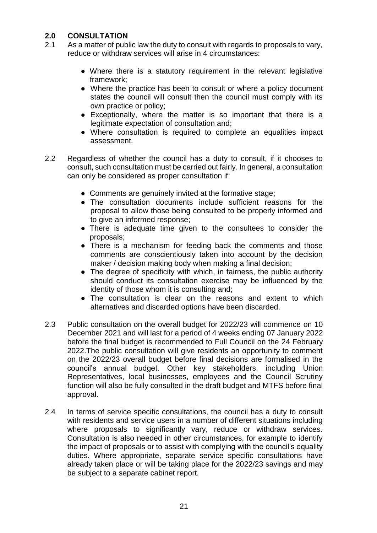# **2.0 CONSULTATION**

- 2.1 As a matter of public law the duty to consult with regards to proposals to vary, reduce or withdraw services will arise in 4 circumstances:
	- Where there is a statutory requirement in the relevant legislative framework;
	- Where the practice has been to consult or where a policy document states the council will consult then the council must comply with its own practice or policy;
	- Exceptionally, where the matter is so important that there is a legitimate expectation of consultation and;
	- Where consultation is required to complete an equalities impact assessment.
- 2.2 Regardless of whether the council has a duty to consult, if it chooses to consult, such consultation must be carried out fairly. In general, a consultation can only be considered as proper consultation if:
	- Comments are genuinely invited at the formative stage;
	- The consultation documents include sufficient reasons for the proposal to allow those being consulted to be properly informed and to give an informed response;
	- There is adequate time given to the consultees to consider the proposals;
	- There is a mechanism for feeding back the comments and those comments are conscientiously taken into account by the decision maker / decision making body when making a final decision;
	- The degree of specificity with which, in fairness, the public authority should conduct its consultation exercise may be influenced by the identity of those whom it is consulting and;
	- The consultation is clear on the reasons and extent to which alternatives and discarded options have been discarded.
- 2.3 Public consultation on the overall budget for 2022/23 will commence on 10 December 2021 and will last for a period of 4 weeks ending 07 January 2022 before the final budget is recommended to Full Council on the 24 February 2022.The public consultation will give residents an opportunity to comment on the 2022/23 overall budget before final decisions are formalised in the council's annual budget. Other key stakeholders, including Union Representatives, local businesses, employees and the Council Scrutiny function will also be fully consulted in the draft budget and MTFS before final approval.
- 2.4 In terms of service specific consultations, the council has a duty to consult with residents and service users in a number of different situations including where proposals to significantly vary, reduce or withdraw services. Consultation is also needed in other circumstances, for example to identify the impact of proposals or to assist with complying with the council's equality duties. Where appropriate, separate service specific consultations have already taken place or will be taking place for the 2022/23 savings and may be subject to a separate cabinet report.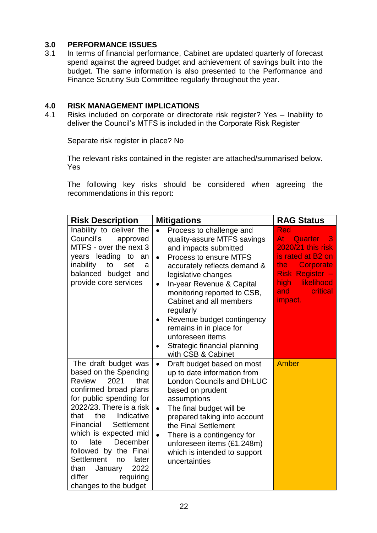# **3.0 PERFORMANCE ISSUES**

In terms of financial performance, Cabinet are updated quarterly of forecast spend against the agreed budget and achievement of savings built into the budget. The same information is also presented to the Performance and Finance Scrutiny Sub Committee regularly throughout the year.

#### **4.0 RISK MANAGEMENT IMPLICATIONS**

4.1 Risks included on corporate or directorate risk register? Yes – Inability to deliver the Council's MTFS is included in the Corporate Risk Register

Separate risk register in place? No

The relevant risks contained in the register are attached/summarised below. Yes

The following key risks should be considered when agreeing the recommendations in this report:

| <b>Risk Description</b>                                                                                                                                                                                                                                                                                                                                                                                    | <b>Mitigations</b>                                                                                                                                                                                                                                                                                                                                                                                                                                           | <b>RAG Status</b>                                                                                                                                                |
|------------------------------------------------------------------------------------------------------------------------------------------------------------------------------------------------------------------------------------------------------------------------------------------------------------------------------------------------------------------------------------------------------------|--------------------------------------------------------------------------------------------------------------------------------------------------------------------------------------------------------------------------------------------------------------------------------------------------------------------------------------------------------------------------------------------------------------------------------------------------------------|------------------------------------------------------------------------------------------------------------------------------------------------------------------|
| Inability to deliver the<br>Council's<br>approved<br>MTFS - over the next 3<br>years leading to<br>an<br>inability<br>to<br>set<br>a<br>balanced budget and<br>provide core services                                                                                                                                                                                                                       | Process to challenge and<br>$\bullet$<br>quality-assure MTFS savings<br>and impacts submitted<br>Process to ensure MTFS<br>$\bullet$<br>accurately reflects demand &<br>legislative changes<br>In-year Revenue & Capital<br>$\bullet$<br>monitoring reported to CSB,<br>Cabinet and all members<br>regularly<br>Revenue budget contingency<br>$\bullet$<br>remains in in place for<br>unforeseen items<br>Strategic financial planning<br>with CSB & Cabinet | Red<br>Atl<br>Quarter<br>3<br>2020/21 this risk<br>is rated at B2 on<br>Corporate<br>the<br>Risk Register -<br>high:<br>likelihood<br>critical<br>and<br>impact. |
| The draft budget was<br>based on the Spending<br><b>Review</b><br>2021<br>that<br>confirmed broad plans<br>for public spending for<br>2022/23. There is a risk<br>the<br>Indicative<br>that<br>Settlement<br>Financial<br>which is expected mid<br>late<br>December<br>to<br>followed by the Final<br>Settlement<br>later<br>no<br>2022<br>than<br>January<br>differ<br>requiring<br>changes to the budget | Draft budget based on most<br>$\bullet$<br>up to date information from<br><b>London Councils and DHLUC</b><br>based on prudent<br>assumptions<br>The final budget will be<br>$\bullet$<br>prepared taking into account<br>the Final Settlement<br>There is a contingency for<br>$\bullet$<br>unforeseen items (£1.248m)<br>which is intended to support<br>uncertainties                                                                                     | <b>Amber</b>                                                                                                                                                     |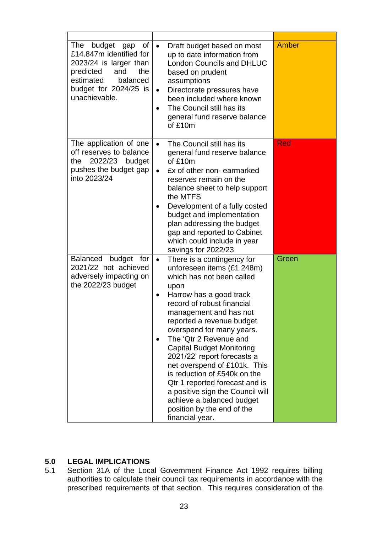| The<br>budget<br>0f<br>gap<br>£14.847m identified for<br>2023/24 is larger than<br>predicted<br>and<br>the<br>estimated<br>balanced<br>budget for 2024/25 is<br>unachievable. | Draft budget based on most<br>$\bullet$<br>up to date information from<br><b>London Councils and DHLUC</b><br>based on prudent<br>assumptions<br>Directorate pressures have<br>$\bullet$<br>been included where known<br>The Council still has its<br>$\bullet$<br>general fund reserve balance<br>of £10m                                                                                                                                                                                                                                                                    | <b>Amber</b> |
|-------------------------------------------------------------------------------------------------------------------------------------------------------------------------------|-------------------------------------------------------------------------------------------------------------------------------------------------------------------------------------------------------------------------------------------------------------------------------------------------------------------------------------------------------------------------------------------------------------------------------------------------------------------------------------------------------------------------------------------------------------------------------|--------------|
| The application of one<br>off reserves to balance<br>2022/23<br>the<br>budget<br>pushes the budget gap<br>into 2023/24                                                        | The Council still has its<br>$\bullet$<br>general fund reserve balance<br>of £10m<br>£x of other non- earmarked<br>$\bullet$<br>reserves remain on the<br>balance sheet to help support<br>the MTFS<br>Development of a fully costed<br>budget and implementation<br>plan addressing the budget<br>gap and reported to Cabinet<br>which could include in year<br>savings for 2022/23                                                                                                                                                                                          | <b>Red</b>   |
| <b>Balanced</b><br>budget for<br>2021/22 not achieved<br>adversely impacting on<br>the 2022/23 budget                                                                         | There is a contingency for<br>$\bullet$<br>unforeseen items (£1.248m)<br>which has not been called<br>upon<br>Harrow has a good track<br>٠<br>record of robust financial<br>management and has not<br>reported a revenue budget<br>overspend for many years.<br>The 'Qtr 2 Revenue and<br><b>Capital Budget Monitoring</b><br>2021/22' report forecasts a<br>net overspend of £101k. This<br>is reduction of £540k on the<br>Qtr 1 reported forecast and is<br>a positive sign the Council will<br>achieve a balanced budget<br>position by the end of the<br>financial year. | Green        |

# **5.0 LEGAL IMPLICATIONS**

Section 31A of the Local Government Finance Act 1992 requires billing authorities to calculate their council tax requirements in accordance with the prescribed requirements of that section. This requires consideration of the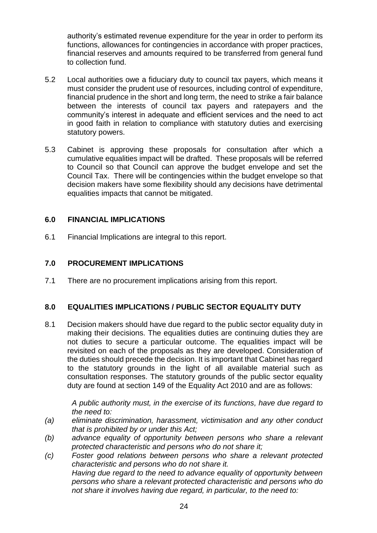authority's estimated revenue expenditure for the year in order to perform its functions, allowances for contingencies in accordance with proper practices, financial reserves and amounts required to be transferred from general fund to collection fund.

- 5.2 Local authorities owe a fiduciary duty to council tax payers, which means it must consider the prudent use of resources, including control of expenditure, financial prudence in the short and long term, the need to strike a fair balance between the interests of council tax payers and ratepayers and the community's interest in adequate and efficient services and the need to act in good faith in relation to compliance with statutory duties and exercising statutory powers.
- 5.3 Cabinet is approving these proposals for consultation after which a cumulative equalities impact will be drafted. These proposals will be referred to Council so that Council can approve the budget envelope and set the Council Tax. There will be contingencies within the budget envelope so that decision makers have some flexibility should any decisions have detrimental equalities impacts that cannot be mitigated.

# **6.0 FINANCIAL IMPLICATIONS**

6.1 Financial Implications are integral to this report.

#### **7.0 PROCUREMENT IMPLICATIONS**

7.1 There are no procurement implications arising from this report.

# **8.0 EQUALITIES IMPLICATIONS / PUBLIC SECTOR EQUALITY DUTY**

8.1 Decision makers should have due regard to the public sector equality duty in making their decisions. The equalities duties are continuing duties they are not duties to secure a particular outcome. The equalities impact will be revisited on each of the proposals as they are developed. Consideration of the duties should precede the decision. It is important that Cabinet has regard to the statutory grounds in the light of all available material such as consultation responses. The statutory grounds of the public sector equality duty are found at section 149 of the Equality Act 2010 and are as follows:

*A public authority must, in the exercise of its functions, have due regard to the need to:*

- *(a) eliminate discrimination, harassment, victimisation and any other conduct that is prohibited by or under this Act;*
- *(b) advance equality of opportunity between persons who share a relevant protected characteristic and persons who do not share it;*
- *(c) Foster good relations between persons who share a relevant protected characteristic and persons who do not share it. Having due regard to the need to advance equality of opportunity between persons who share a relevant protected characteristic and persons who do not share it involves having due regard, in particular, to the need to:*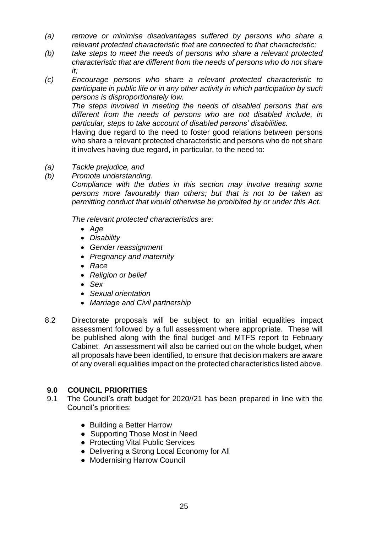- *(a) remove or minimise disadvantages suffered by persons who share a relevant protected characteristic that are connected to that characteristic;*
- *(b) take steps to meet the needs of persons who share a relevant protected characteristic that are different from the needs of persons who do not share it;*
- *(c) Encourage persons who share a relevant protected characteristic to participate in public life or in any other activity in which participation by such persons is disproportionately low.*

*The steps involved in meeting the needs of disabled persons that are different from the needs of persons who are not disabled include, in particular, steps to take account of disabled persons' disabilities.*

Having due regard to the need to foster good relations between persons who share a relevant protected characteristic and persons who do not share it involves having due regard, in particular, to the need to:

- *(a) Tackle prejudice, and*
- *(b) Promote understanding.*

*Compliance with the duties in this section may involve treating some persons more favourably than others; but that is not to be taken as permitting conduct that would otherwise be prohibited by or under this Act.* 

*The relevant protected characteristics are:*

- *Age*
- *Disability*
- *Gender reassignment*
- *Pregnancy and maternity*
- Race
- *Religion or belief*
- *Sex*
- *Sexual orientation*
- *Marriage and Civil partnership*
- 8.2 Directorate proposals will be subject to an initial equalities impact assessment followed by a full assessment where appropriate. These will be published along with the final budget and MTFS report to February Cabinet. An assessment will also be carried out on the whole budget, when all proposals have been identified, to ensure that decision makers are aware of any overall equalities impact on the protected characteristics listed above.

# **9.0 COUNCIL PRIORITIES**

- 9.1 The Council's draft budget for 2020//21 has been prepared in line with the Council's priorities:
	- Building a Better Harrow
	- Supporting Those Most in Need
	- Protecting Vital Public Services
	- Delivering a Strong Local Economy for All
	- Modernising Harrow Council